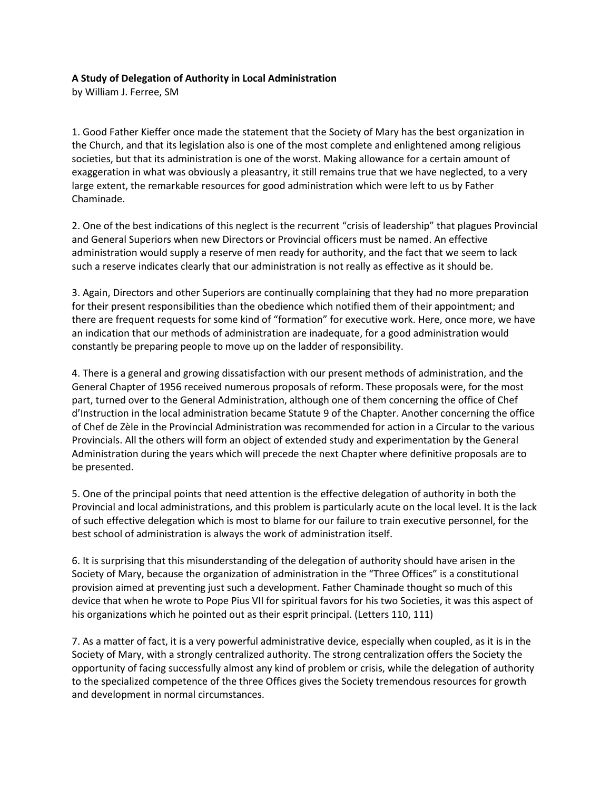## **A Study of Delegation of Authority in Local Administration**

by William J. Ferree, SM

1. Good Father Kieffer once made the statement that the Society of Mary has the best organization in the Church, and that its legislation also is one of the most complete and enlightened among religious societies, but that its administration is one of the worst. Making allowance for a certain amount of exaggeration in what was obviously a pleasantry, it still remains true that we have neglected, to a very large extent, the remarkable resources for good administration which were left to us by Father Chaminade.

2. One of the best indications of this neglect is the recurrent "crisis of leadership" that plagues Provincial and General Superiors when new Directors or Provincial officers must be named. An effective administration would supply a reserve of men ready for authority, and the fact that we seem to lack such a reserve indicates clearly that our administration is not really as effective as it should be.

3. Again, Directors and other Superiors are continually complaining that they had no more preparation for their present responsibilities than the obedience which notified them of their appointment; and there are frequent requests for some kind of "formation" for executive work. Here, once more, we have an indication that our methods of administration are inadequate, for a good administration would constantly be preparing people to move up on the ladder of responsibility.

4. There is a general and growing dissatisfaction with our present methods of administration, and the General Chapter of 1956 received numerous proposals of reform. These proposals were, for the most part, turned over to the General Administration, although one of them concerning the office of Chef d'Instruction in the local administration became Statute 9 of the Chapter. Another concerning the office of Chef de Zèle in the Provincial Administration was recommended for action in a Circular to the various Provincials. All the others will form an object of extended study and experimentation by the General Administration during the years which will precede the next Chapter where definitive proposals are to be presented.

5. One of the principal points that need attention is the effective delegation of authority in both the Provincial and local administrations, and this problem is particularly acute on the local level. It is the lack of such effective delegation which is most to blame for our failure to train executive personnel, for the best school of administration is always the work of administration itself.

6. It is surprising that this misunderstanding of the delegation of authority should have arisen in the Society of Mary, because the organization of administration in the "Three Offices" is a constitutional provision aimed at preventing just such a development. Father Chaminade thought so much of this device that when he wrote to Pope Pius VII for spiritual favors for his two Societies, it was this aspect of his organizations which he pointed out as their esprit principal. (Letters 110, 111)

7. As a matter of fact, it is a very powerful administrative device, especially when coupled, as it is in the Society of Mary, with a strongly centralized authority. The strong centralization offers the Society the opportunity of facing successfully almost any kind of problem or crisis, while the delegation of authority to the specialized competence of the three Offices gives the Society tremendous resources for growth and development in normal circumstances.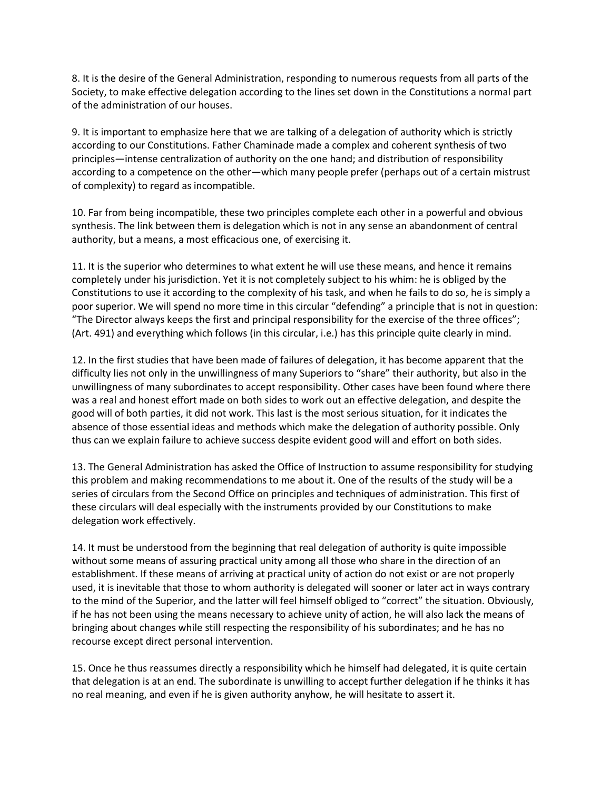8. It is the desire of the General Administration, responding to numerous requests from all parts of the Society, to make effective delegation according to the lines set down in the Constitutions a normal part of the administration of our houses.

9. It is important to emphasize here that we are talking of a delegation of authority which is strictly according to our Constitutions. Father Chaminade made a complex and coherent synthesis of two principles—intense centralization of authority on the one hand; and distribution of responsibility according to a competence on the other—which many people prefer (perhaps out of a certain mistrust of complexity) to regard as incompatible.

10. Far from being incompatible, these two principles complete each other in a powerful and obvious synthesis. The link between them is delegation which is not in any sense an abandonment of central authority, but a means, a most efficacious one, of exercising it.

11. It is the superior who determines to what extent he will use these means, and hence it remains completely under his jurisdiction. Yet it is not completely subject to his whim: he is obliged by the Constitutions to use it according to the complexity of his task, and when he fails to do so, he is simply a poor superior. We will spend no more time in this circular "defending" a principle that is not in question: "The Director always keeps the first and principal responsibility for the exercise of the three offices"; (Art. 491) and everything which follows (in this circular, i.e.) has this principle quite clearly in mind.

12. In the first studies that have been made of failures of delegation, it has become apparent that the difficulty lies not only in the unwillingness of many Superiors to "share" their authority, but also in the unwillingness of many subordinates to accept responsibility. Other cases have been found where there was a real and honest effort made on both sides to work out an effective delegation, and despite the good will of both parties, it did not work. This last is the most serious situation, for it indicates the absence of those essential ideas and methods which make the delegation of authority possible. Only thus can we explain failure to achieve success despite evident good will and effort on both sides.

13. The General Administration has asked the Office of Instruction to assume responsibility for studying this problem and making recommendations to me about it. One of the results of the study will be a series of circulars from the Second Office on principles and techniques of administration. This first of these circulars will deal especially with the instruments provided by our Constitutions to make delegation work effectively.

14. It must be understood from the beginning that real delegation of authority is quite impossible without some means of assuring practical unity among all those who share in the direction of an establishment. If these means of arriving at practical unity of action do not exist or are not properly used, it is inevitable that those to whom authority is delegated will sooner or later act in ways contrary to the mind of the Superior, and the latter will feel himself obliged to "correct" the situation. Obviously, if he has not been using the means necessary to achieve unity of action, he will also lack the means of bringing about changes while still respecting the responsibility of his subordinates; and he has no recourse except direct personal intervention.

15. Once he thus reassumes directly a responsibility which he himself had delegated, it is quite certain that delegation is at an end. The subordinate is unwilling to accept further delegation if he thinks it has no real meaning, and even if he is given authority anyhow, he will hesitate to assert it.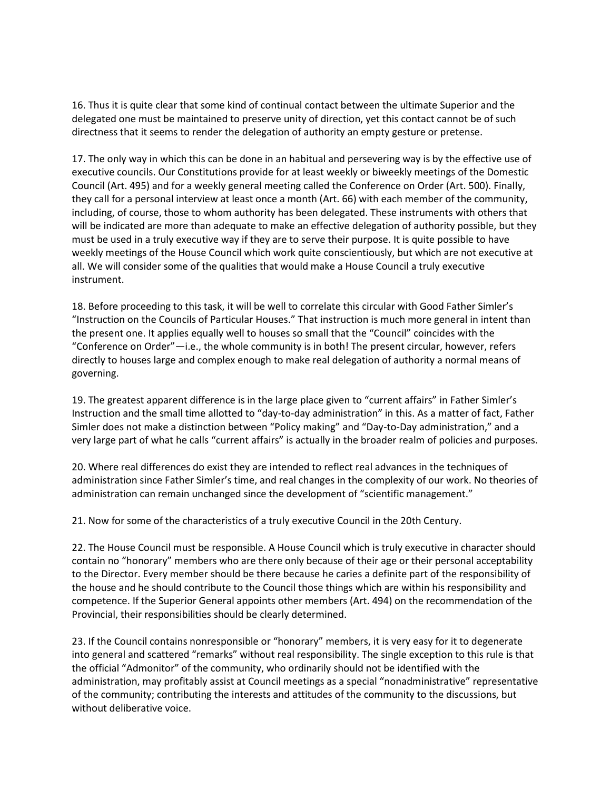16. Thus it is quite clear that some kind of continual contact between the ultimate Superior and the delegated one must be maintained to preserve unity of direction, yet this contact cannot be of such directness that it seems to render the delegation of authority an empty gesture or pretense.

17. The only way in which this can be done in an habitual and persevering way is by the effective use of executive councils. Our Constitutions provide for at least weekly or biweekly meetings of the Domestic Council (Art. 495) and for a weekly general meeting called the Conference on Order (Art. 500). Finally, they call for a personal interview at least once a month (Art. 66) with each member of the community, including, of course, those to whom authority has been delegated. These instruments with others that will be indicated are more than adequate to make an effective delegation of authority possible, but they must be used in a truly executive way if they are to serve their purpose. It is quite possible to have weekly meetings of the House Council which work quite conscientiously, but which are not executive at all. We will consider some of the qualities that would make a House Council a truly executive instrument.

18. Before proceeding to this task, it will be well to correlate this circular with Good Father Simler's "Instruction on the Councils of Particular Houses." That instruction is much more general in intent than the present one. It applies equally well to houses so small that the "Council" coincides with the "Conference on Order"—i.e., the whole community is in both! The present circular, however, refers directly to houses large and complex enough to make real delegation of authority a normal means of governing.

19. The greatest apparent difference is in the large place given to "current affairs" in Father Simler's Instruction and the small time allotted to "day-to-day administration" in this. As a matter of fact, Father Simler does not make a distinction between "Policy making" and "Day-to-Day administration," and a very large part of what he calls "current affairs" is actually in the broader realm of policies and purposes.

20. Where real differences do exist they are intended to reflect real advances in the techniques of administration since Father Simler's time, and real changes in the complexity of our work. No theories of administration can remain unchanged since the development of "scientific management."

21. Now for some of the characteristics of a truly executive Council in the 20th Century.

22. The House Council must be responsible. A House Council which is truly executive in character should contain no "honorary" members who are there only because of their age or their personal acceptability to the Director. Every member should be there because he caries a definite part of the responsibility of the house and he should contribute to the Council those things which are within his responsibility and competence. If the Superior General appoints other members (Art. 494) on the recommendation of the Provincial, their responsibilities should be clearly determined.

23. If the Council contains nonresponsible or "honorary" members, it is very easy for it to degenerate into general and scattered "remarks" without real responsibility. The single exception to this rule is that the official "Admonitor" of the community, who ordinarily should not be identified with the administration, may profitably assist at Council meetings as a special "nonadministrative" representative of the community; contributing the interests and attitudes of the community to the discussions, but without deliberative voice.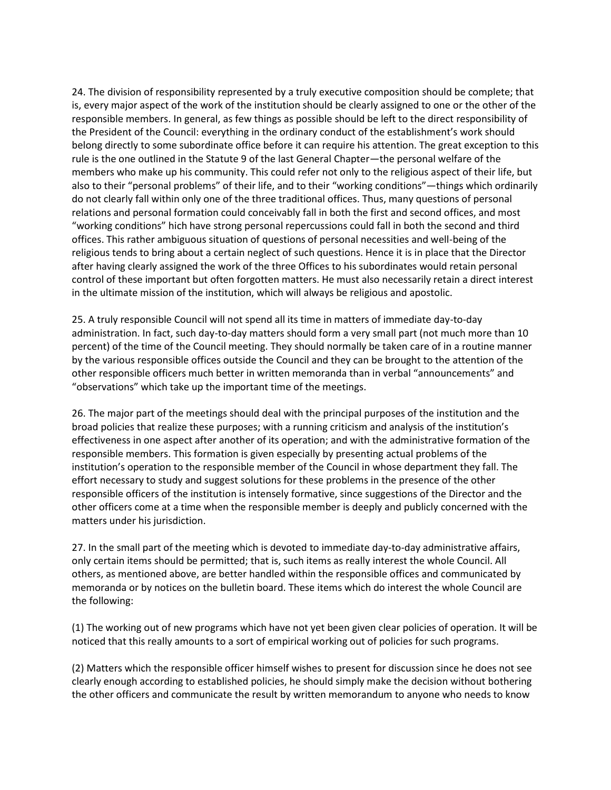24. The division of responsibility represented by a truly executive composition should be complete; that is, every major aspect of the work of the institution should be clearly assigned to one or the other of the responsible members. In general, as few things as possible should be left to the direct responsibility of the President of the Council: everything in the ordinary conduct of the establishment's work should belong directly to some subordinate office before it can require his attention. The great exception to this rule is the one outlined in the Statute 9 of the last General Chapter—the personal welfare of the members who make up his community. This could refer not only to the religious aspect of their life, but also to their "personal problems" of their life, and to their "working conditions"—things which ordinarily do not clearly fall within only one of the three traditional offices. Thus, many questions of personal relations and personal formation could conceivably fall in both the first and second offices, and most "working conditions" hich have strong personal repercussions could fall in both the second and third offices. This rather ambiguous situation of questions of personal necessities and well-being of the religious tends to bring about a certain neglect of such questions. Hence it is in place that the Director after having clearly assigned the work of the three Offices to his subordinates would retain personal control of these important but often forgotten matters. He must also necessarily retain a direct interest in the ultimate mission of the institution, which will always be religious and apostolic.

25. A truly responsible Council will not spend all its time in matters of immediate day-to-day administration. In fact, such day-to-day matters should form a very small part (not much more than 10 percent) of the time of the Council meeting. They should normally be taken care of in a routine manner by the various responsible offices outside the Council and they can be brought to the attention of the other responsible officers much better in written memoranda than in verbal "announcements" and "observations" which take up the important time of the meetings.

26. The major part of the meetings should deal with the principal purposes of the institution and the broad policies that realize these purposes; with a running criticism and analysis of the institution's effectiveness in one aspect after another of its operation; and with the administrative formation of the responsible members. This formation is given especially by presenting actual problems of the institution's operation to the responsible member of the Council in whose department they fall. The effort necessary to study and suggest solutions for these problems in the presence of the other responsible officers of the institution is intensely formative, since suggestions of the Director and the other officers come at a time when the responsible member is deeply and publicly concerned with the matters under his jurisdiction.

27. In the small part of the meeting which is devoted to immediate day-to-day administrative affairs, only certain items should be permitted; that is, such items as really interest the whole Council. All others, as mentioned above, are better handled within the responsible offices and communicated by memoranda or by notices on the bulletin board. These items which do interest the whole Council are the following:

(1) The working out of new programs which have not yet been given clear policies of operation. It will be noticed that this really amounts to a sort of empirical working out of policies for such programs.

(2) Matters which the responsible officer himself wishes to present for discussion since he does not see clearly enough according to established policies, he should simply make the decision without bothering the other officers and communicate the result by written memorandum to anyone who needs to know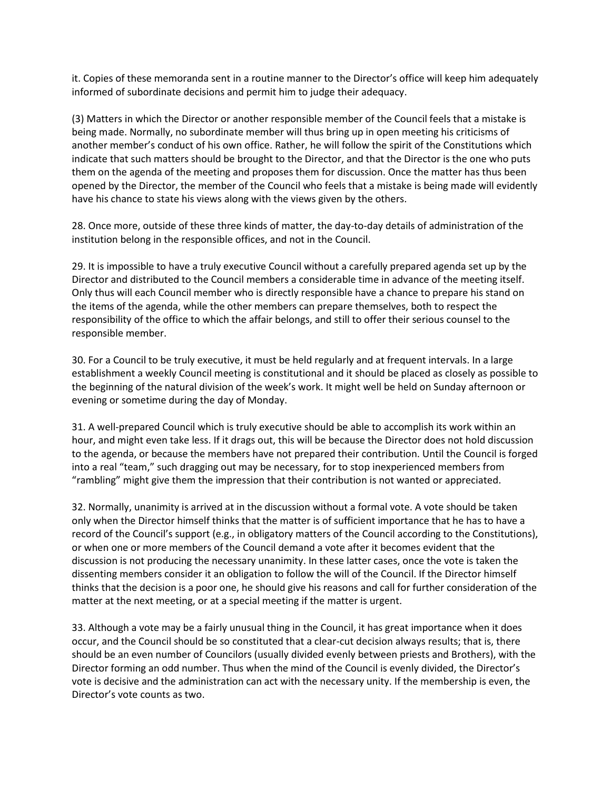it. Copies of these memoranda sent in a routine manner to the Director's office will keep him adequately informed of subordinate decisions and permit him to judge their adequacy.

(3) Matters in which the Director or another responsible member of the Council feels that a mistake is being made. Normally, no subordinate member will thus bring up in open meeting his criticisms of another member's conduct of his own office. Rather, he will follow the spirit of the Constitutions which indicate that such matters should be brought to the Director, and that the Director is the one who puts them on the agenda of the meeting and proposes them for discussion. Once the matter has thus been opened by the Director, the member of the Council who feels that a mistake is being made will evidently have his chance to state his views along with the views given by the others.

28. Once more, outside of these three kinds of matter, the day-to-day details of administration of the institution belong in the responsible offices, and not in the Council.

29. It is impossible to have a truly executive Council without a carefully prepared agenda set up by the Director and distributed to the Council members a considerable time in advance of the meeting itself. Only thus will each Council member who is directly responsible have a chance to prepare his stand on the items of the agenda, while the other members can prepare themselves, both to respect the responsibility of the office to which the affair belongs, and still to offer their serious counsel to the responsible member.

30. For a Council to be truly executive, it must be held regularly and at frequent intervals. In a large establishment a weekly Council meeting is constitutional and it should be placed as closely as possible to the beginning of the natural division of the week's work. It might well be held on Sunday afternoon or evening or sometime during the day of Monday.

31. A well-prepared Council which is truly executive should be able to accomplish its work within an hour, and might even take less. If it drags out, this will be because the Director does not hold discussion to the agenda, or because the members have not prepared their contribution. Until the Council is forged into a real "team," such dragging out may be necessary, for to stop inexperienced members from "rambling" might give them the impression that their contribution is not wanted or appreciated.

32. Normally, unanimity is arrived at in the discussion without a formal vote. A vote should be taken only when the Director himself thinks that the matter is of sufficient importance that he has to have a record of the Council's support (e.g., in obligatory matters of the Council according to the Constitutions), or when one or more members of the Council demand a vote after it becomes evident that the discussion is not producing the necessary unanimity. In these latter cases, once the vote is taken the dissenting members consider it an obligation to follow the will of the Council. If the Director himself thinks that the decision is a poor one, he should give his reasons and call for further consideration of the matter at the next meeting, or at a special meeting if the matter is urgent.

33. Although a vote may be a fairly unusual thing in the Council, it has great importance when it does occur, and the Council should be so constituted that a clear-cut decision always results; that is, there should be an even number of Councilors (usually divided evenly between priests and Brothers), with the Director forming an odd number. Thus when the mind of the Council is evenly divided, the Director's vote is decisive and the administration can act with the necessary unity. If the membership is even, the Director's vote counts as two.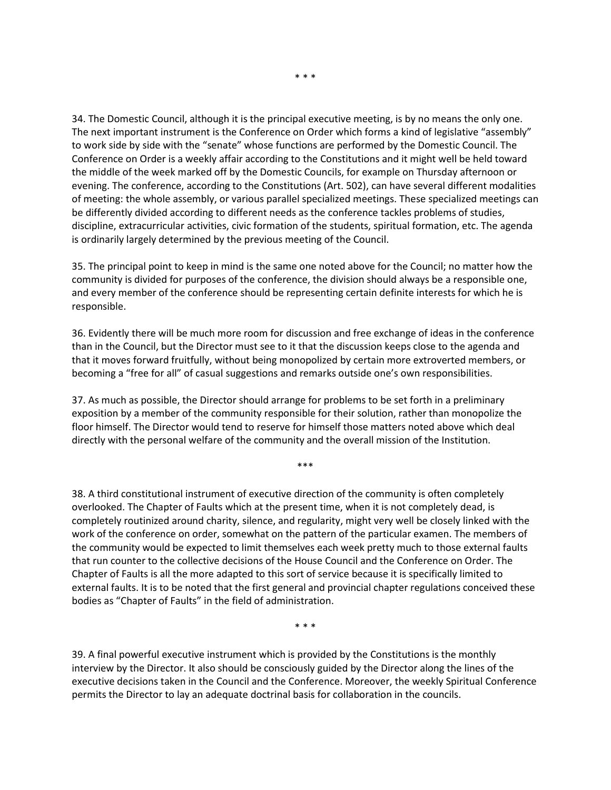34. The Domestic Council, although it is the principal executive meeting, is by no means the only one. The next important instrument is the Conference on Order which forms a kind of legislative "assembly" to work side by side with the "senate" whose functions are performed by the Domestic Council. The Conference on Order is a weekly affair according to the Constitutions and it might well be held toward the middle of the week marked off by the Domestic Councils, for example on Thursday afternoon or evening. The conference, according to the Constitutions (Art. 502), can have several different modalities of meeting: the whole assembly, or various parallel specialized meetings. These specialized meetings can be differently divided according to different needs as the conference tackles problems of studies, discipline, extracurricular activities, civic formation of the students, spiritual formation, etc. The agenda is ordinarily largely determined by the previous meeting of the Council.

35. The principal point to keep in mind is the same one noted above for the Council; no matter how the community is divided for purposes of the conference, the division should always be a responsible one, and every member of the conference should be representing certain definite interests for which he is responsible.

36. Evidently there will be much more room for discussion and free exchange of ideas in the conference than in the Council, but the Director must see to it that the discussion keeps close to the agenda and that it moves forward fruitfully, without being monopolized by certain more extroverted members, or becoming a "free for all" of casual suggestions and remarks outside one's own responsibilities.

37. As much as possible, the Director should arrange for problems to be set forth in a preliminary exposition by a member of the community responsible for their solution, rather than monopolize the floor himself. The Director would tend to reserve for himself those matters noted above which deal directly with the personal welfare of the community and the overall mission of the Institution.

\*\*\*

38. A third constitutional instrument of executive direction of the community is often completely overlooked. The Chapter of Faults which at the present time, when it is not completely dead, is completely routinized around charity, silence, and regularity, might very well be closely linked with the work of the conference on order, somewhat on the pattern of the particular examen. The members of the community would be expected to limit themselves each week pretty much to those external faults that run counter to the collective decisions of the House Council and the Conference on Order. The Chapter of Faults is all the more adapted to this sort of service because it is specifically limited to external faults. It is to be noted that the first general and provincial chapter regulations conceived these bodies as "Chapter of Faults" in the field of administration.

\* \* \*

39. A final powerful executive instrument which is provided by the Constitutions is the monthly interview by the Director. It also should be consciously guided by the Director along the lines of the executive decisions taken in the Council and the Conference. Moreover, the weekly Spiritual Conference permits the Director to lay an adequate doctrinal basis for collaboration in the councils.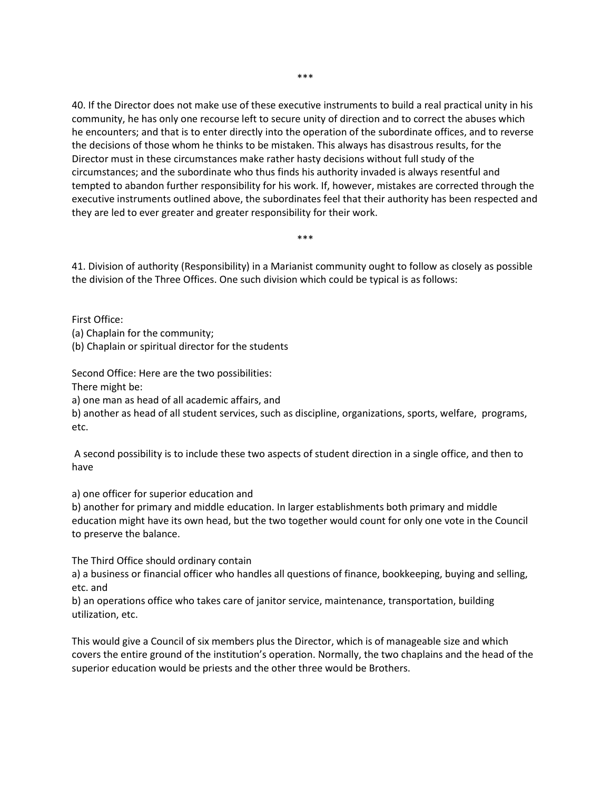40. If the Director does not make use of these executive instruments to build a real practical unity in his community, he has only one recourse left to secure unity of direction and to correct the abuses which he encounters; and that is to enter directly into the operation of the subordinate offices, and to reverse the decisions of those whom he thinks to be mistaken. This always has disastrous results, for the Director must in these circumstances make rather hasty decisions without full study of the circumstances; and the subordinate who thus finds his authority invaded is always resentful and tempted to abandon further responsibility for his work. If, however, mistakes are corrected through the executive instruments outlined above, the subordinates feel that their authority has been respected and they are led to ever greater and greater responsibility for their work.

41. Division of authority (Responsibility) in a Marianist community ought to follow as closely as possible the division of the Three Offices. One such division which could be typical is as follows:

\*\*\*

First Office:

(a) Chaplain for the community;

(b) Chaplain or spiritual director for the students

Second Office: Here are the two possibilities:

There might be:

a) one man as head of all academic affairs, and

b) another as head of all student services, such as discipline, organizations, sports, welfare, programs, etc.

A second possibility is to include these two aspects of student direction in a single office, and then to have

a) one officer for superior education and

b) another for primary and middle education. In larger establishments both primary and middle education might have its own head, but the two together would count for only one vote in the Council to preserve the balance.

The Third Office should ordinary contain

a) a business or financial officer who handles all questions of finance, bookkeeping, buying and selling, etc. and

b) an operations office who takes care of janitor service, maintenance, transportation, building utilization, etc.

This would give a Council of six members plus the Director, which is of manageable size and which covers the entire ground of the institution's operation. Normally, the two chaplains and the head of the superior education would be priests and the other three would be Brothers.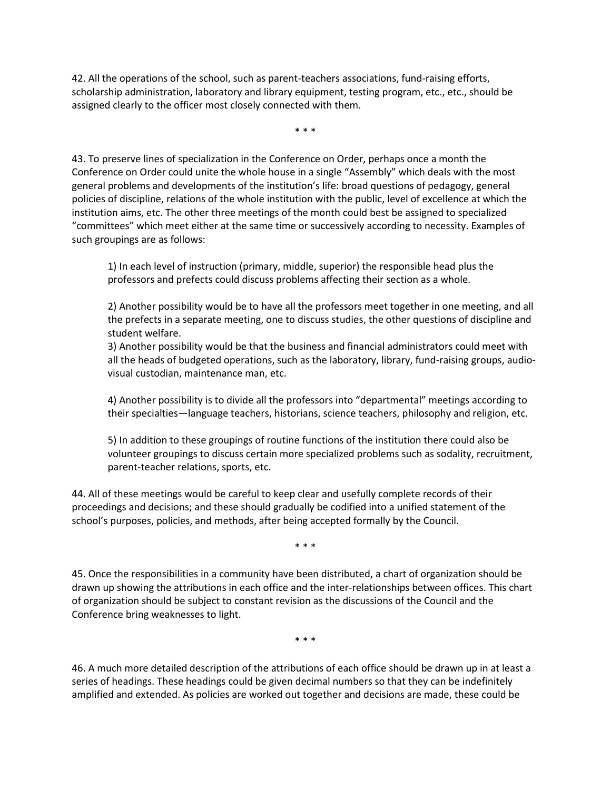42. All the operations of the school, such as parent-teachers associations, fund-raising efforts, scholarship administration, laboratory and library equipment, testing program, etc., etc., should be assigned clearly to the officer most closely connected with them.

\* \* \*

43. To preserve lines of specialization in the Conference on Order, perhaps once a month the Conference on Order could unite the whole house in a single "Assembly" which deals with the most general problems and developments of the institution's life: broad questions of pedagogy, general policies of discipline, relations of the whole institution with the public, level of excellence at which the institution aims, etc. The other three meetings of the month could best be assigned to specialized "committees" which meet either at the same time or successively according to necessity. Examples of such groupings are as follows:

1) In each level of instruction (primary, middle, superior) the responsible head plus the professors and prefects could discuss problems affecting their section as a whole.

2) Another possibility would be to have all the professors meet together in one meeting, and all the prefects in a separate meeting, one to discuss studies, the other questions of discipline and student welfare.

3) Another possibility would be that the business and financial administrators could meet with all the heads of budgeted operations, such as the laboratory, library, fund-raising groups, audiovisual custodian, maintenance man, etc.

4) Another possibility is to divide all the professors into "departmental" meetings according to their specialties—language teachers, historians, science teachers, philosophy and religion, etc.

5) In addition to these groupings of routine functions of the institution there could also be volunteer groupings to discuss certain more specialized problems such as sodality, recruitment, parent-teacher relations, sports, etc.

44. All of these meetings would be careful to keep clear and usefully complete records of their proceedings and decisions; and these should gradually be codified into a unified statement of the school's purposes, policies, and methods, after being accepted formally by the Council.

\* \* \*

45. Once the responsibilities in a community have been distributed, a chart of organization should be drawn up showing the attributions in each office and the inter-relationships between offices. This chart of organization should be subject to constant revision as the discussions of the Council and the Conference bring weaknesses to light.

\* \* \*

46. A much more detailed description of the attributions of each office should be drawn up in at least a series of headings. These headings could be given decimal numbers so that they can be indefinitely amplified and extended. As policies are worked out together and decisions are made, these could be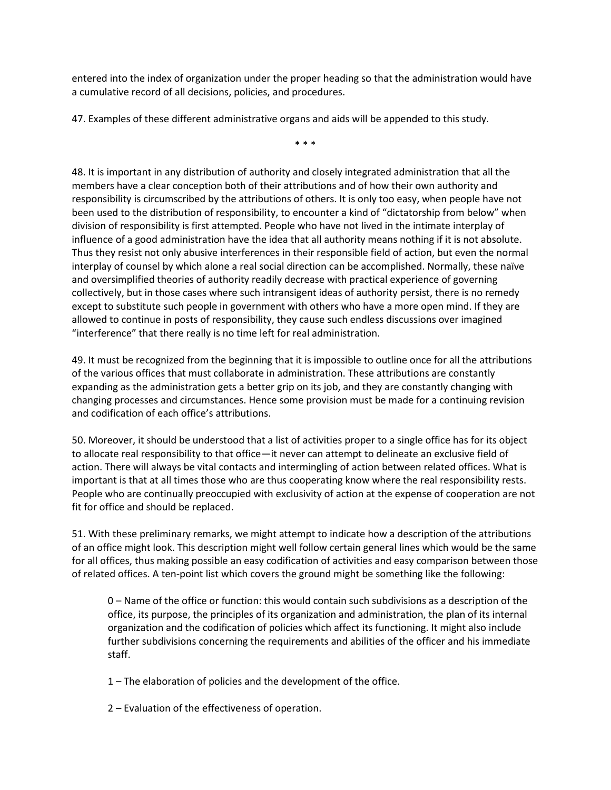entered into the index of organization under the proper heading so that the administration would have a cumulative record of all decisions, policies, and procedures.

47. Examples of these different administrative organs and aids will be appended to this study.

\* \* \*

48. It is important in any distribution of authority and closely integrated administration that all the members have a clear conception both of their attributions and of how their own authority and responsibility is circumscribed by the attributions of others. It is only too easy, when people have not been used to the distribution of responsibility, to encounter a kind of "dictatorship from below" when division of responsibility is first attempted. People who have not lived in the intimate interplay of influence of a good administration have the idea that all authority means nothing if it is not absolute. Thus they resist not only abusive interferences in their responsible field of action, but even the normal interplay of counsel by which alone a real social direction can be accomplished. Normally, these naïve and oversimplified theories of authority readily decrease with practical experience of governing collectively, but in those cases where such intransigent ideas of authority persist, there is no remedy except to substitute such people in government with others who have a more open mind. If they are allowed to continue in posts of responsibility, they cause such endless discussions over imagined "interference" that there really is no time left for real administration.

49. It must be recognized from the beginning that it is impossible to outline once for all the attributions of the various offices that must collaborate in administration. These attributions are constantly expanding as the administration gets a better grip on its job, and they are constantly changing with changing processes and circumstances. Hence some provision must be made for a continuing revision and codification of each office's attributions.

50. Moreover, it should be understood that a list of activities proper to a single office has for its object to allocate real responsibility to that office—it never can attempt to delineate an exclusive field of action. There will always be vital contacts and intermingling of action between related offices. What is important is that at all times those who are thus cooperating know where the real responsibility rests. People who are continually preoccupied with exclusivity of action at the expense of cooperation are not fit for office and should be replaced.

51. With these preliminary remarks, we might attempt to indicate how a description of the attributions of an office might look. This description might well follow certain general lines which would be the same for all offices, thus making possible an easy codification of activities and easy comparison between those of related offices. A ten-point list which covers the ground might be something like the following:

0 – Name of the office or function: this would contain such subdivisions as a description of the office, its purpose, the principles of its organization and administration, the plan of its internal organization and the codification of policies which affect its functioning. It might also include further subdivisions concerning the requirements and abilities of the officer and his immediate staff.

- 1 The elaboration of policies and the development of the office.
- 2 Evaluation of the effectiveness of operation.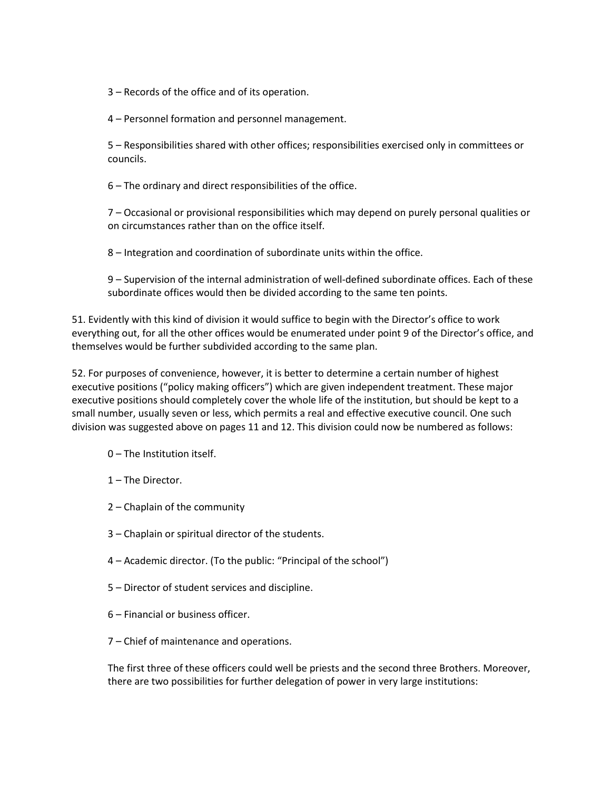3 – Records of the office and of its operation.

4 – Personnel formation and personnel management.

5 – Responsibilities shared with other offices; responsibilities exercised only in committees or councils.

6 – The ordinary and direct responsibilities of the office.

7 – Occasional or provisional responsibilities which may depend on purely personal qualities or on circumstances rather than on the office itself.

8 – Integration and coordination of subordinate units within the office.

9 – Supervision of the internal administration of well-defined subordinate offices. Each of these subordinate offices would then be divided according to the same ten points.

51. Evidently with this kind of division it would suffice to begin with the Director's office to work everything out, for all the other offices would be enumerated under point 9 of the Director's office, and themselves would be further subdivided according to the same plan.

52. For purposes of convenience, however, it is better to determine a certain number of highest executive positions ("policy making officers") which are given independent treatment. These major executive positions should completely cover the whole life of the institution, but should be kept to a small number, usually seven or less, which permits a real and effective executive council. One such division was suggested above on pages 11 and 12. This division could now be numbered as follows:

- 0 The Institution itself.
- 1 The Director.
- 2 Chaplain of the community
- 3 Chaplain or spiritual director of the students.
- 4 Academic director. (To the public: "Principal of the school")
- 5 Director of student services and discipline.
- 6 Financial or business officer.
- 7 Chief of maintenance and operations.

The first three of these officers could well be priests and the second three Brothers. Moreover, there are two possibilities for further delegation of power in very large institutions: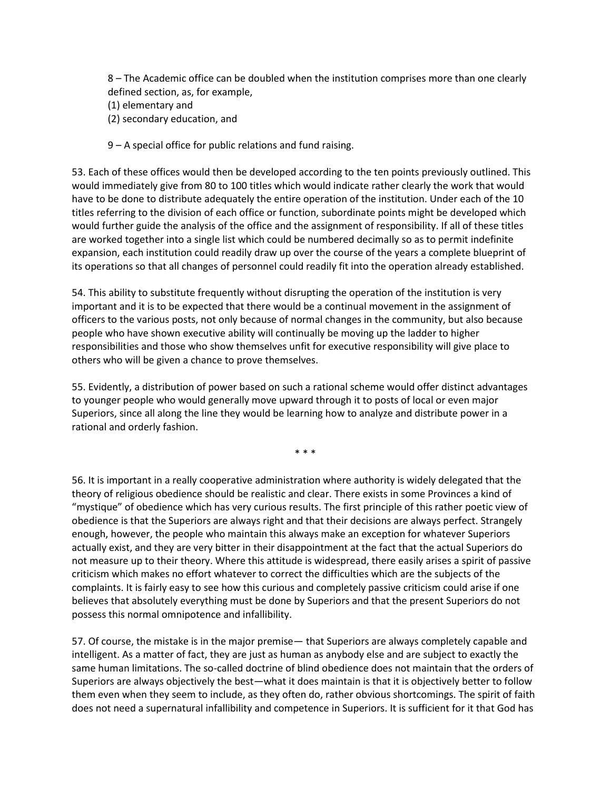8 – The Academic office can be doubled when the institution comprises more than one clearly defined section, as, for example,

- (1) elementary and
- (2) secondary education, and
- 9 A special office for public relations and fund raising.

53. Each of these offices would then be developed according to the ten points previously outlined. This would immediately give from 80 to 100 titles which would indicate rather clearly the work that would have to be done to distribute adequately the entire operation of the institution. Under each of the 10 titles referring to the division of each office or function, subordinate points might be developed which would further guide the analysis of the office and the assignment of responsibility. If all of these titles are worked together into a single list which could be numbered decimally so as to permit indefinite expansion, each institution could readily draw up over the course of the years a complete blueprint of its operations so that all changes of personnel could readily fit into the operation already established.

54. This ability to substitute frequently without disrupting the operation of the institution is very important and it is to be expected that there would be a continual movement in the assignment of officers to the various posts, not only because of normal changes in the community, but also because people who have shown executive ability will continually be moving up the ladder to higher responsibilities and those who show themselves unfit for executive responsibility will give place to others who will be given a chance to prove themselves.

55. Evidently, a distribution of power based on such a rational scheme would offer distinct advantages to younger people who would generally move upward through it to posts of local or even major Superiors, since all along the line they would be learning how to analyze and distribute power in a rational and orderly fashion.

\* \* \*

56. It is important in a really cooperative administration where authority is widely delegated that the theory of religious obedience should be realistic and clear. There exists in some Provinces a kind of "mystique" of obedience which has very curious results. The first principle of this rather poetic view of obedience is that the Superiors are always right and that their decisions are always perfect. Strangely enough, however, the people who maintain this always make an exception for whatever Superiors actually exist, and they are very bitter in their disappointment at the fact that the actual Superiors do not measure up to their theory. Where this attitude is widespread, there easily arises a spirit of passive criticism which makes no effort whatever to correct the difficulties which are the subjects of the complaints. It is fairly easy to see how this curious and completely passive criticism could arise if one believes that absolutely everything must be done by Superiors and that the present Superiors do not possess this normal omnipotence and infallibility.

57. Of course, the mistake is in the major premise— that Superiors are always completely capable and intelligent. As a matter of fact, they are just as human as anybody else and are subject to exactly the same human limitations. The so-called doctrine of blind obedience does not maintain that the orders of Superiors are always objectively the best—what it does maintain is that it is objectively better to follow them even when they seem to include, as they often do, rather obvious shortcomings. The spirit of faith does not need a supernatural infallibility and competence in Superiors. It is sufficient for it that God has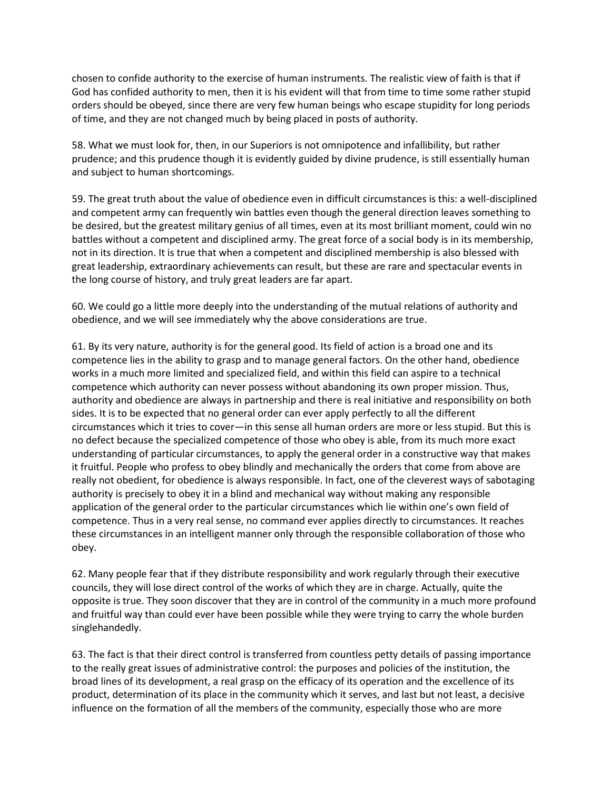chosen to confide authority to the exercise of human instruments. The realistic view of faith is that if God has confided authority to men, then it is his evident will that from time to time some rather stupid orders should be obeyed, since there are very few human beings who escape stupidity for long periods of time, and they are not changed much by being placed in posts of authority.

58. What we must look for, then, in our Superiors is not omnipotence and infallibility, but rather prudence; and this prudence though it is evidently guided by divine prudence, is still essentially human and subject to human shortcomings.

59. The great truth about the value of obedience even in difficult circumstances is this: a well-disciplined and competent army can frequently win battles even though the general direction leaves something to be desired, but the greatest military genius of all times, even at its most brilliant moment, could win no battles without a competent and disciplined army. The great force of a social body is in its membership, not in its direction. It is true that when a competent and disciplined membership is also blessed with great leadership, extraordinary achievements can result, but these are rare and spectacular events in the long course of history, and truly great leaders are far apart.

60. We could go a little more deeply into the understanding of the mutual relations of authority and obedience, and we will see immediately why the above considerations are true.

61. By its very nature, authority is for the general good. Its field of action is a broad one and its competence lies in the ability to grasp and to manage general factors. On the other hand, obedience works in a much more limited and specialized field, and within this field can aspire to a technical competence which authority can never possess without abandoning its own proper mission. Thus, authority and obedience are always in partnership and there is real initiative and responsibility on both sides. It is to be expected that no general order can ever apply perfectly to all the different circumstances which it tries to cover—in this sense all human orders are more or less stupid. But this is no defect because the specialized competence of those who obey is able, from its much more exact understanding of particular circumstances, to apply the general order in a constructive way that makes it fruitful. People who profess to obey blindly and mechanically the orders that come from above are really not obedient, for obedience is always responsible. In fact, one of the cleverest ways of sabotaging authority is precisely to obey it in a blind and mechanical way without making any responsible application of the general order to the particular circumstances which lie within one's own field of competence. Thus in a very real sense, no command ever applies directly to circumstances. It reaches these circumstances in an intelligent manner only through the responsible collaboration of those who obey.

62. Many people fear that if they distribute responsibility and work regularly through their executive councils, they will lose direct control of the works of which they are in charge. Actually, quite the opposite is true. They soon discover that they are in control of the community in a much more profound and fruitful way than could ever have been possible while they were trying to carry the whole burden singlehandedly.

63. The fact is that their direct control is transferred from countless petty details of passing importance to the really great issues of administrative control: the purposes and policies of the institution, the broad lines of its development, a real grasp on the efficacy of its operation and the excellence of its product, determination of its place in the community which it serves, and last but not least, a decisive influence on the formation of all the members of the community, especially those who are more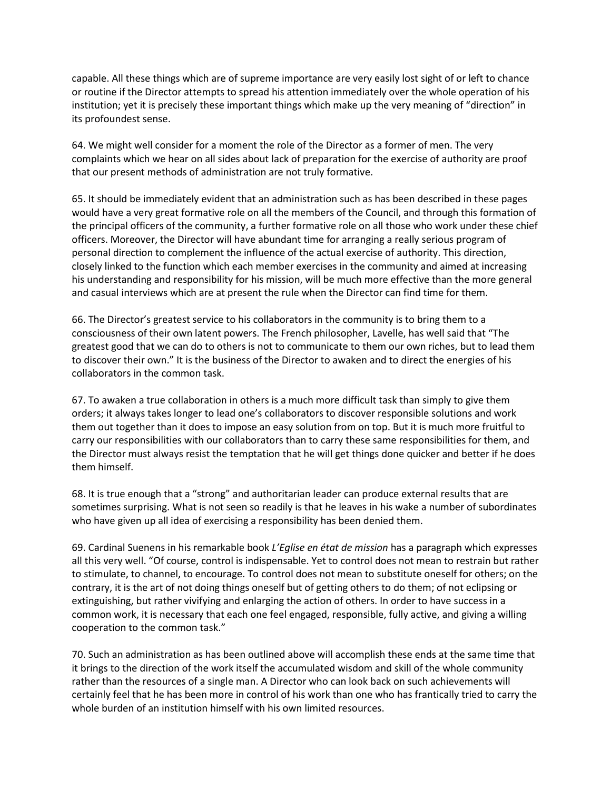capable. All these things which are of supreme importance are very easily lost sight of or left to chance or routine if the Director attempts to spread his attention immediately over the whole operation of his institution; yet it is precisely these important things which make up the very meaning of "direction" in its profoundest sense.

64. We might well consider for a moment the role of the Director as a former of men. The very complaints which we hear on all sides about lack of preparation for the exercise of authority are proof that our present methods of administration are not truly formative.

65. It should be immediately evident that an administration such as has been described in these pages would have a very great formative role on all the members of the Council, and through this formation of the principal officers of the community, a further formative role on all those who work under these chief officers. Moreover, the Director will have abundant time for arranging a really serious program of personal direction to complement the influence of the actual exercise of authority. This direction, closely linked to the function which each member exercises in the community and aimed at increasing his understanding and responsibility for his mission, will be much more effective than the more general and casual interviews which are at present the rule when the Director can find time for them.

66. The Director's greatest service to his collaborators in the community is to bring them to a consciousness of their own latent powers. The French philosopher, Lavelle, has well said that "The greatest good that we can do to others is not to communicate to them our own riches, but to lead them to discover their own." It is the business of the Director to awaken and to direct the energies of his collaborators in the common task.

67. To awaken a true collaboration in others is a much more difficult task than simply to give them orders; it always takes longer to lead one's collaborators to discover responsible solutions and work them out together than it does to impose an easy solution from on top. But it is much more fruitful to carry our responsibilities with our collaborators than to carry these same responsibilities for them, and the Director must always resist the temptation that he will get things done quicker and better if he does them himself.

68. It is true enough that a "strong" and authoritarian leader can produce external results that are sometimes surprising. What is not seen so readily is that he leaves in his wake a number of subordinates who have given up all idea of exercising a responsibility has been denied them.

69. Cardinal Suenens in his remarkable book *L'Eglise en état de mission* has a paragraph which expresses all this very well. "Of course, control is indispensable. Yet to control does not mean to restrain but rather to stimulate, to channel, to encourage. To control does not mean to substitute oneself for others; on the contrary, it is the art of not doing things oneself but of getting others to do them; of not eclipsing or extinguishing, but rather vivifying and enlarging the action of others. In order to have success in a common work, it is necessary that each one feel engaged, responsible, fully active, and giving a willing cooperation to the common task."

70. Such an administration as has been outlined above will accomplish these ends at the same time that it brings to the direction of the work itself the accumulated wisdom and skill of the whole community rather than the resources of a single man. A Director who can look back on such achievements will certainly feel that he has been more in control of his work than one who has frantically tried to carry the whole burden of an institution himself with his own limited resources.